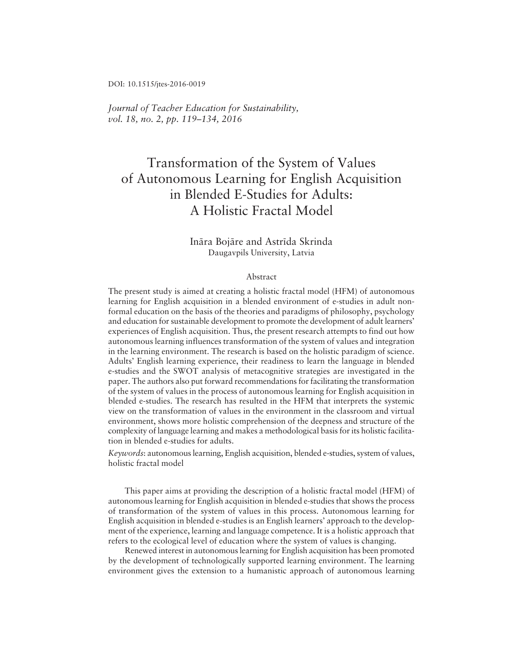DOI: 10.1515/jtes-2016-0019

*Journal of Teacher Education for Sustainability, vol.* 18, no. 2, pp. 119-134, 2016

# Transformation of the System of Values of Autonomous Learning for English Acquisition in Blended E-Studies for Adults: A Holistic Fractal Model

# Ināra Bojāre and Astrīda Skrinda Daugavpils University, Latvia

#### Abstract

The present study is aimed at creating a holistic fractal model (HFM) of autonomous learning for English acquisition in a blended environment of e-studies in adult nonformal education on the basis of the theories and paradigms of philosophy, psychology and education for sustainable development to promote the development of adult learners' experiences of English acquisition. Thus, the present research attempts to find out how autonomous learning influences transformation of the system of values and integration in the learning environment. The research is based on the holistic paradigm of science. Adults' English learning experience, their readiness to learn the language in blended e-studies and the SWOT analysis of metacognitive strategies are investigated in the paper. The authors also put forward recommendations for facilitating the transformation of the system of values in the process of autonomous learning for English acquisition in blended e-studies. The research has resulted in the HFM that interprets the systemic view on the transformation of values in the environment in the classroom and virtual environment, shows more holistic comprehension of the deepness and structure of the complexity of language learning and makes a methodological basis for its holistic facilitation in blended e-studies for adults.

*Keywords*: autonomous learning, English acquisition, blended e-studies, system of values, holistic fractal model

This paper aims at providing the description of a holistic fractal model (HFM) of autonomous learning for English acquisition in blended e-studies that shows the process of transformation of the system of values in this process. Autonomous learning for English acquisition in blended e-studies is an English learners' approach to the development of the experience, learning and language competence. It is a holistic approach that refers to the ecological level of education where the system of values is changing.

Renewed interest in autonomous learning for English acquisition has been promoted by the development of technologically supported learning environment. The learning environment gives the extension to a humanistic approach of autonomous learning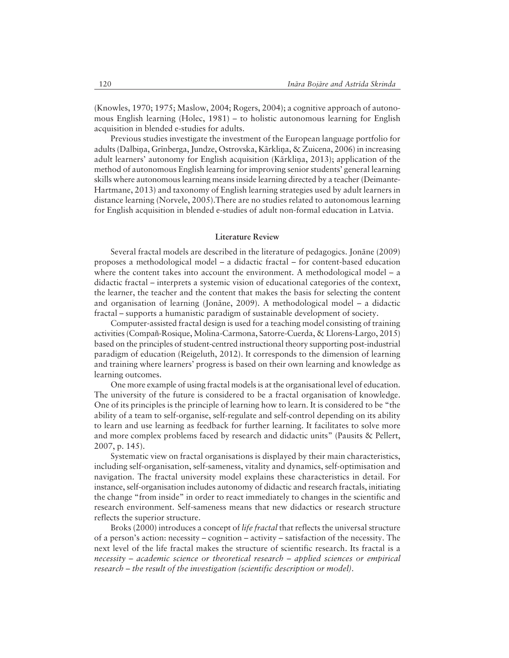(Knowles, 1970; 1975; Maslow, 2004; Rogers, 2004); a cognitive approach of autonomous English learning (Holec,  $1981$ ) – to holistic autonomous learning for English acquisition in blended e-studies for adults.

Previous studies investigate the investment of the European language portfolio for adults (Dalbiņa, Grīnberga, Jundze, Ostrovska, Kārkliņa, & Zuicena, 2006) in increasing adult learners' autonomy for English acquisition (Kärklina, 2013); application of the method of autonomous English learning for improving senior studentsí general learning skills where autonomous learning means inside learning directed by a teacher (Deimante-Hartmane, 2013) and taxonomy of English learning strategies used by adult learners in distance learning (Norvele, 2005).There are no studies related to autonomous learning for English acquisition in blended e-studies of adult non-formal education in Latvia.

# **Literature Review**

Several fractal models are described in the literature of pedagogics. Jonane (2009) proposes a methodological model  $-$  a didactic fractal  $-$  for content-based education where the content takes into account the environment. A methodological model  $-$  a didactic fractal – interprets a systemic vision of educational categories of the context, the learner, the teacher and the content that makes the basis for selecting the content and organisation of learning (Jonane, 2009). A methodological model  $-$  a didactic fractal – supports a humanistic paradigm of sustainable development of society.

Computer-assisted fractal design is used for a teaching model consisting of training activities (Compañ-Rosique, Molina-Carmona, Satorre-Cuerda, & Llorens-Largo, 2015) based on the principles of student-centred instructional theory supporting post-industrial paradigm of education (Reigeluth, 2012). It corresponds to the dimension of learning and training where learnersí progress is based on their own learning and knowledge as learning outcomes.

One more example of using fractal models is at the organisational level of education. The university of the future is considered to be a fractal organisation of knowledge. One of its principles is the principle of learning how to learn. It is considered to be "the ability of a team to self-organise, self-regulate and self-control depending on its ability to learn and use learning as feedback for further learning. It facilitates to solve more and more complex problems faced by research and didactic units" (Pausits & Pellert, 2007, p. 145).

Systematic view on fractal organisations is displayed by their main characteristics, including self-organisation, self-sameness, vitality and dynamics, self-optimisation and navigation. The fractal university model explains these characteristics in detail. For instance, self-organisation includes autonomy of didactic and research fractals, initiating the change "from inside" in order to react immediately to changes in the scientific and research environment. Self-sameness means that new didactics or research structure reflects the superior structure.

Broks (2000) introduces a concept of *life fractal* that reflects the universal structure of a person's action: necessity – cognition – activity – satisfaction of the necessity. The next level of the life fractal makes the structure of scientific research. Its fractal is a *necessity – academic science or theoretical research – applied sciences or empirical research – the result of the investigation (scientific description or model).*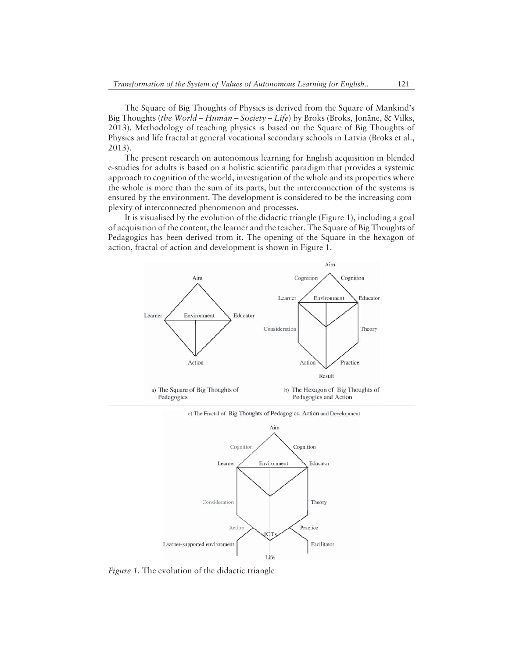The Square of Big Thoughts of Physics is derived from the Square of Mankindís Big Thoughts (*the World – Human – Society – Life*) by Broks (Broks, Jonāne, & Vilks, 2013). Methodology of teaching physics is based on the Square of Big Thoughts of Physics and life fractal at general vocational secondary schools in Latvia (Broks et al., 2013).

The present research on autonomous learning for English acquisition in blended e-studies for adults is based on a holistic scientific paradigm that provides a systemic approach to cognition of the world, investigation of the whole and its properties where the whole is more than the sum of its parts, but the interconnection of the systems is ensured by the environment. The development is considered to be the increasing complexity of interconnected phenomenon and processes.

It is visualised by the evolution of the didactic triangle (Figure 1), including a goal of acquisition of the content, the learner and the teacher. The Square of Big Thoughts of Pedagogics has been derived from it. The opening of the Square in the hexagon of action, fractal of action and development is shown in Figure 1.





*Figure 1.* The evolution of the didactic triangle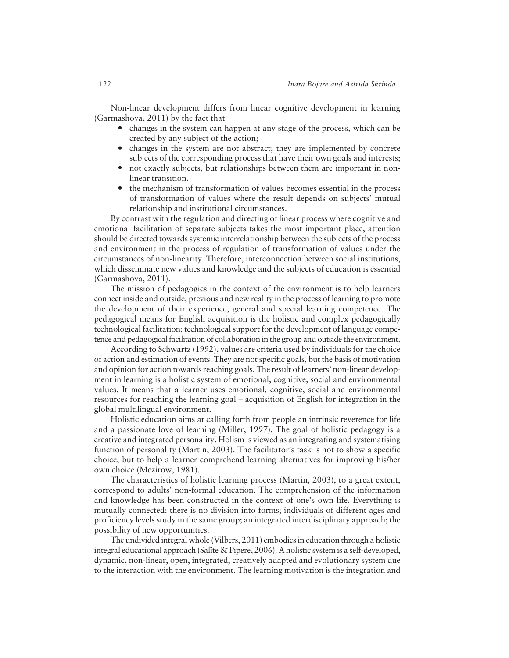Non-linear development differs from linear cognitive development in learning (Garmashova, 2011) by the fact that

- changes in the system can happen at any stage of the process, which can be created by any subject of the action;
- changes in the system are not abstract; they are implemented by concrete subjects of the corresponding process that have their own goals and interests;
- not exactly subjects, but relationships between them are important in nonlinear transition.
- the mechanism of transformation of values becomes essential in the process of transformation of values where the result depends on subjects' mutual relationship and institutional circumstances.

By contrast with the regulation and directing of linear process where cognitive and emotional facilitation of separate subjects takes the most important place, attention should be directed towards systemic interrelationship between the subjects of the process and environment in the process of regulation of transformation of values under the circumstances of non-linearity. Therefore, interconnection between social institutions, which disseminate new values and knowledge and the subjects of education is essential (Garmashova, 2011).

The mission of pedagogics in the context of the environment is to help learners connect inside and outside, previous and new reality in the process of learning to promote the development of their experience, general and special learning competence. The pedagogical means for English acquisition is the holistic and complex pedagogically technological facilitation: technological support for the development of language competence and pedagogical facilitation of collaboration in the group and outside the environment.

According to Schwartz (1992), values are criteria used by individuals for the choice of action and estimation of events. They are not specific goals, but the basis of motivation and opinion for action towards reaching goals. The result of learners' non-linear development in learning is a holistic system of emotional, cognitive, social and environmental values. It means that a learner uses emotional, cognitive, social and environmental resources for reaching the learning goal – acquisition of English for integration in the global multilingual environment.

Holistic education aims at calling forth from people an intrinsic reverence for life and a passionate love of learning (Miller, 1997). The goal of holistic pedagogy is a creative and integrated personality. Holism is viewed as an integrating and systematising function of personality (Martin, 2003). The facilitator's task is not to show a specific choice, but to help a learner comprehend learning alternatives for improving his/her own choice (Mezirow, 1981).

The characteristics of holistic learning process (Martin, 2003), to a great extent, correspond to adults' non-formal education. The comprehension of the information and knowledge has been constructed in the context of one's own life. Everything is mutually connected: there is no division into forms; individuals of different ages and proficiency levels study in the same group; an integrated interdisciplinary approach; the possibility of new opportunities.

The undivided integral whole (Vilbers, 2011) embodies in education through a holistic integral educational approach (Salīte & Pipere, 2006). A holistic system is a self-developed, dynamic, non-linear, open, integrated, creatively adapted and evolutionary system due to the interaction with the environment. The learning motivation is the integration and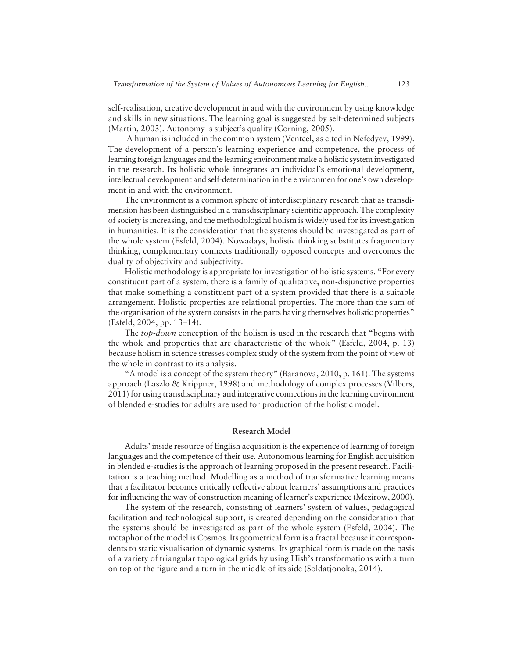self-realisation, creative development in and with the environment by using knowledge and skills in new situations. The learning goal is suggested by self-determined subjects  $(Martin, 2003)$ . Autonomy is subject's quality (Corning, 2005).

 A human is included in the common system (Ventcel, as cited in Nefedyev, 1999). The development of a person's learning experience and competence, the process of learning foreign languages and the learning environment make a holistic system investigated in the research. Its holistic whole integrates an individual's emotional development, intellectual development and self-determination in the environmen for one's own development in and with the environment.

The environment is a common sphere of interdisciplinary research that as transdimension has been distinguished in a transdisciplinary scientific approach. The complexity of society is increasing, and the methodological holism is widely used for its investigation in humanities. It is the consideration that the systems should be investigated as part of the whole system (Esfeld, 2004). Nowadays, holistic thinking substitutes fragmentary thinking, complementary connects traditionally opposed concepts and overcomes the duality of objectivity and subjectivity.

Holistic methodology is appropriate for investigation of holistic systems. "For every constituent part of a system, there is a family of qualitative, non-disjunctive properties that make something a constituent part of a system provided that there is a suitable arrangement. Holistic properties are relational properties. The more than the sum of the organisation of the system consists in the parts having themselves holistic properties"  $(Esfeld, 2004, pp. 13–14).$ 

The *top-down* conception of the holism is used in the research that "begins with the whole and properties that are characteristic of the whole" (Esfeld, 2004, p. 13) because holism in science stresses complex study of the system from the point of view of the whole in contrast to its analysis.

"A model is a concept of the system theory" (Baranova, 2010, p. 161). The systems approach (Laszlo & Krippner, 1998) and methodology of complex processes (Vilbers, 2011) for using transdisciplinary and integrative connections in the learning environment of blended e-studies for adults are used for production of the holistic model.

# **Research Model**

Adults' inside resource of English acquisition is the experience of learning of foreign languages and the competence of their use. Autonomous learning for English acquisition in blended e-studies is the approach of learning proposed in the present research. Facilitation is a teaching method. Modelling as a method of transformative learning means that a facilitator becomes critically reflective about learners' assumptions and practices for influencing the way of construction meaning of learner's experience (Mezirow, 2000).

The system of the research, consisting of learners' system of values, pedagogical facilitation and technological support, is created depending on the consideration that the systems should be investigated as part of the whole system (Esfeld, 2004). The metaphor of the model is Cosmos. Its geometrical form is a fractal because it correspondents to static visualisation of dynamic systems. Its graphical form is made on the basis of a variety of triangular topological grids by using Hish's transformations with a turn on top of the figure and a turn in the middle of its side (Soldatjonoka, 2014).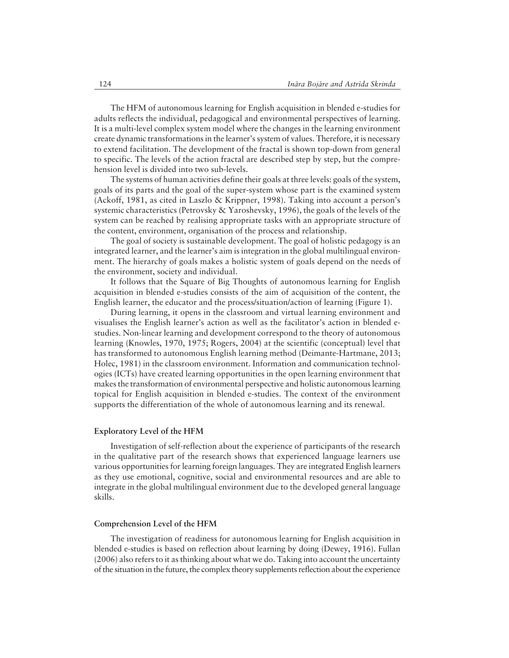The HFM of autonomous learning for English acquisition in blended e-studies for adults reflects the individual, pedagogical and environmental perspectives of learning. It is a multi-level complex system model where the changes in the learning environment create dynamic transformations in the learner's system of values. Therefore, it is necessary to extend facilitation. The development of the fractal is shown top-down from general to specific. The levels of the action fractal are described step by step, but the comprehension level is divided into two sub-levels.

The systems of human activities define their goals at three levels: goals of the system, goals of its parts and the goal of the super-system whose part is the examined system (Ackoff, 1981, as cited in Laszlo & Krippner, 1998). Taking into account a person's systemic characteristics (Petrovsky & Yaroshevsky, 1996), the goals of the levels of the system can be reached by realising appropriate tasks with an appropriate structure of the content, environment, organisation of the process and relationship.

The goal of society is sustainable development. The goal of holistic pedagogy is an integrated learner, and the learner's aim is integration in the global multilingual environment. The hierarchy of goals makes a holistic system of goals depend on the needs of the environment, society and individual.

It follows that the Square of Big Thoughts of autonomous learning for English acquisition in blended e-studies consists of the aim of acquisition of the content, the English learner, the educator and the process/situation/action of learning (Figure 1).

During learning, it opens in the classroom and virtual learning environment and visualises the English learner's action as well as the facilitator's action in blended estudies. Non-linear learning and development correspond to the theory of autonomous learning (Knowles, 1970, 1975; Rogers, 2004) at the scientific (conceptual) level that has transformed to autonomous English learning method (Deimante-Hartmane, 2013; Holec, 1981) in the classroom environment. Information and communication technologies (ICTs) have created learning opportunities in the open learning environment that makes the transformation of environmental perspective and holistic autonomous learning topical for English acquisition in blended e-studies. The context of the environment supports the differentiation of the whole of autonomous learning and its renewal.

#### **Exploratory Level of the HFM**

Investigation of self-reflection about the experience of participants of the research in the qualitative part of the research shows that experienced language learners use various opportunities for learning foreign languages. They are integrated English learners as they use emotional, cognitive, social and environmental resources and are able to integrate in the global multilingual environment due to the developed general language skills.

#### **Comprehension Level of the HFM**

The investigation of readiness for autonomous learning for English acquisition in blended e-studies is based on reflection about learning by doing (Dewey, 1916). Fullan (2006) also refers to it as thinking about what we do. Taking into account the uncertainty of the situation in the future, the complex theory supplements reflection about the experience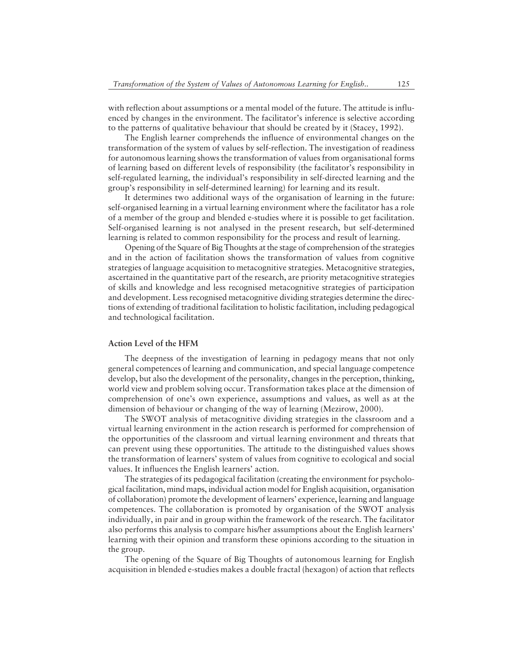with reflection about assumptions or a mental model of the future. The attitude is influenced by changes in the environment. The facilitator's inference is selective according to the patterns of qualitative behaviour that should be created by it (Stacey, 1992).

The English learner comprehends the influence of environmental changes on the transformation of the system of values by self-reflection. The investigation of readiness for autonomous learning shows the transformation of values from organisational forms of learning based on different levels of responsibility (the facilitator's responsibility in self-regulated learning, the individual's responsibility in self-directed learning and the group's responsibility in self-determined learning) for learning and its result.

It determines two additional ways of the organisation of learning in the future: self-organised learning in a virtual learning environment where the facilitator has a role of a member of the group and blended e-studies where it is possible to get facilitation. Self-organised learning is not analysed in the present research, but self-determined learning is related to common responsibility for the process and result of learning.

Opening of the Square of Big Thoughts at the stage of comprehension of the strategies and in the action of facilitation shows the transformation of values from cognitive strategies of language acquisition to metacognitive strategies. Metacognitive strategies, ascertained in the quantitative part of the research, are priority metacognitive strategies of skills and knowledge and less recognised metacognitive strategies of participation and development. Less recognised metacognitive dividing strategies determine the directions of extending of traditional facilitation to holistic facilitation, including pedagogical and technological facilitation.

#### **Action Level of the HFM**

The deepness of the investigation of learning in pedagogy means that not only general competences of learning and communication, and special language competence develop, but also the development of the personality, changes in the perception, thinking, world view and problem solving occur. Transformation takes place at the dimension of comprehension of one's own experience, assumptions and values, as well as at the dimension of behaviour or changing of the way of learning (Mezirow, 2000).

The SWOT analysis of metacognitive dividing strategies in the classroom and a virtual learning environment in the action research is performed for comprehension of the opportunities of the classroom and virtual learning environment and threats that can prevent using these opportunities. The attitude to the distinguished values shows the transformation of learnersí system of values from cognitive to ecological and social values. It influences the English learners' action.

The strategies of its pedagogical facilitation (creating the environment for psychological facilitation, mind maps, individual action model for English acquisition, organisation of collaboration) promote the development of learnersí experience, learning and language competences. The collaboration is promoted by organisation of the SWOT analysis individually, in pair and in group within the framework of the research. The facilitator also performs this analysis to compare his/her assumptions about the English learners' learning with their opinion and transform these opinions according to the situation in the group.

The opening of the Square of Big Thoughts of autonomous learning for English acquisition in blended e-studies makes a double fractal (hexagon) of action that reflects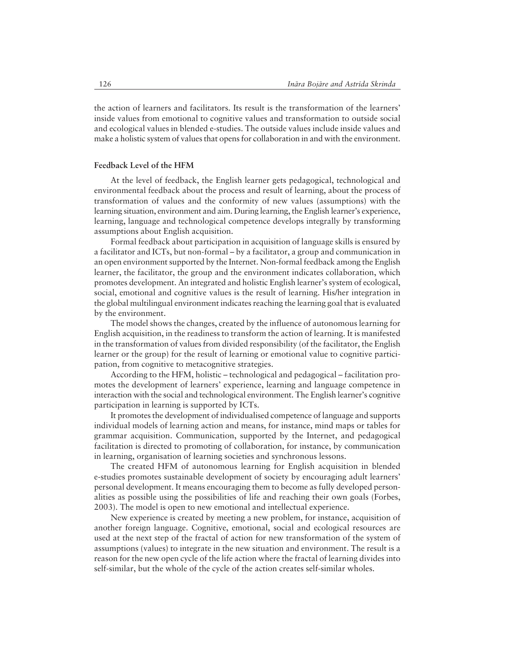the action of learners and facilitators. Its result is the transformation of the learners' inside values from emotional to cognitive values and transformation to outside social and ecological values in blended e-studies. The outside values include inside values and make a holistic system of values that opens for collaboration in and with the environment.

# **Feedback Level of the HFM**

At the level of feedback, the English learner gets pedagogical, technological and environmental feedback about the process and result of learning, about the process of transformation of values and the conformity of new values (assumptions) with the learning situation, environment and aim. During learning, the English learner's experience, learning, language and technological competence develops integrally by transforming assumptions about English acquisition.

Formal feedback about participation in acquisition of language skills is ensured by a facilitator and ICTs, but non-formal – by a facilitator, a group and communication in an open environment supported by the Internet. Non-formal feedback among the English learner, the facilitator, the group and the environment indicates collaboration, which promotes development. An integrated and holistic English learner's system of ecological, social, emotional and cognitive values is the result of learning. His/her integration in the global multilingual environment indicates reaching the learning goal that is evaluated by the environment.

The model shows the changes, created by the influence of autonomous learning for English acquisition, in the readiness to transform the action of learning. It is manifested in the transformation of values from divided responsibility (of the facilitator, the English learner or the group) for the result of learning or emotional value to cognitive participation, from cognitive to metacognitive strategies.

According to the HFM, holistic – technological and pedagogical – facilitation promotes the development of learners' experience, learning and language competence in interaction with the social and technological environment. The English learner's cognitive participation in learning is supported by ICTs.

It promotes the development of individualised competence of language and supports individual models of learning action and means, for instance, mind maps or tables for grammar acquisition. Communication, supported by the Internet, and pedagogical facilitation is directed to promoting of collaboration, for instance, by communication in learning, organisation of learning societies and synchronous lessons.

The created HFM of autonomous learning for English acquisition in blended e-studies promotes sustainable development of society by encouraging adult learners' personal development. It means encouraging them to become as fully developed personalities as possible using the possibilities of life and reaching their own goals (Forbes, 2003). The model is open to new emotional and intellectual experience.

New experience is created by meeting a new problem, for instance, acquisition of another foreign language. Cognitive, emotional, social and ecological resources are used at the next step of the fractal of action for new transformation of the system of assumptions (values) to integrate in the new situation and environment. The result is a reason for the new open cycle of the life action where the fractal of learning divides into self-similar, but the whole of the cycle of the action creates self-similar wholes.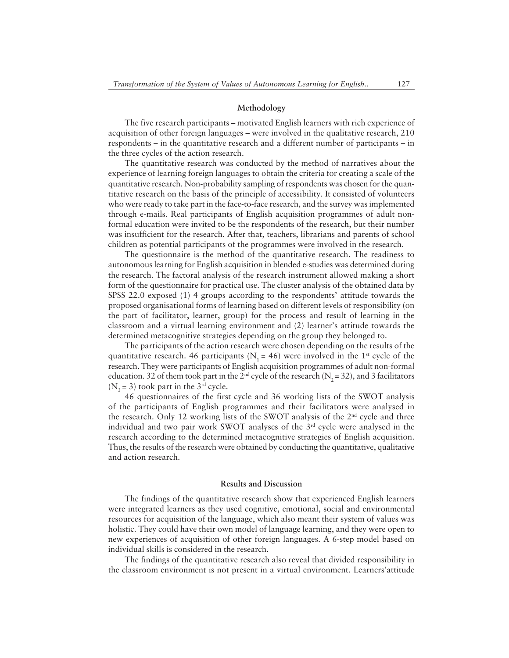#### **Methodology**

The five research participants – motivated English learners with rich experience of acquisition of other foreign languages  $-$  were involved in the qualitative research, 210 respondents  $-$  in the quantitative research and a different number of participants  $-$  in the three cycles of the action research.

The quantitative research was conducted by the method of narratives about the experience of learning foreign languages to obtain the criteria for creating a scale of the quantitative research. Non-probability sampling of respondents was chosen for the quantitative research on the basis of the principle of accessibility. It consisted of volunteers who were ready to take part in the face-to-face research, and the survey was implemented through e-mails. Real participants of English acquisition programmes of adult nonformal education were invited to be the respondents of the research, but their number was insufficient for the research. After that, teachers, librarians and parents of school children as potential participants of the programmes were involved in the research.

The questionnaire is the method of the quantitative research. The readiness to autonomous learning for English acquisition in blended e-studies was determined during the research. The factoral analysis of the research instrument allowed making a short form of the questionnaire for practical use. The cluster analysis of the obtained data by SPSS 22.0 exposed  $(1)$  4 groups according to the respondents' attitude towards the proposed organisational forms of learning based on different levels of responsibility (on the part of facilitator, learner, group) for the process and result of learning in the classroom and a virtual learning environment and  $(2)$  learner's attitude towards the determined metacognitive strategies depending on the group they belonged to.

The participants of the action research were chosen depending on the results of the quantitative research. 46 participants ( $N_1 = 46$ ) were involved in the 1<sup>st</sup> cycle of the research. They were participants of English acquisition programmes of adult non-formal education. 32 of them took part in the  $2<sup>nd</sup>$  cycle of the research (N<sub>2</sub> = 32), and 3 facilitators  $(N_3 = 3)$  took part in the 3<sup>rd</sup> cycle.

46 questionnaires of the first cycle and 36 working lists of the SWOT analysis of the participants of English programmes and their facilitators were analysed in the research. Only 12 working lists of the SWOT analysis of the  $2<sup>nd</sup>$  cycle and three individual and two pair work SWOT analyses of the  $3<sup>rd</sup>$  cycle were analysed in the research according to the determined metacognitive strategies of English acquisition. Thus, the results of the research were obtained by conducting the quantitative, qualitative and action research.

# **Results and Discussion**

The findings of the quantitative research show that experienced English learners were integrated learners as they used cognitive, emotional, social and environmental resources for acquisition of the language, which also meant their system of values was holistic. They could have their own model of language learning, and they were open to new experiences of acquisition of other foreign languages. A 6-step model based on individual skills is considered in the research.

The findings of the quantitative research also reveal that divided responsibility in the classroom environment is not present in a virtual environment. Learners' attitude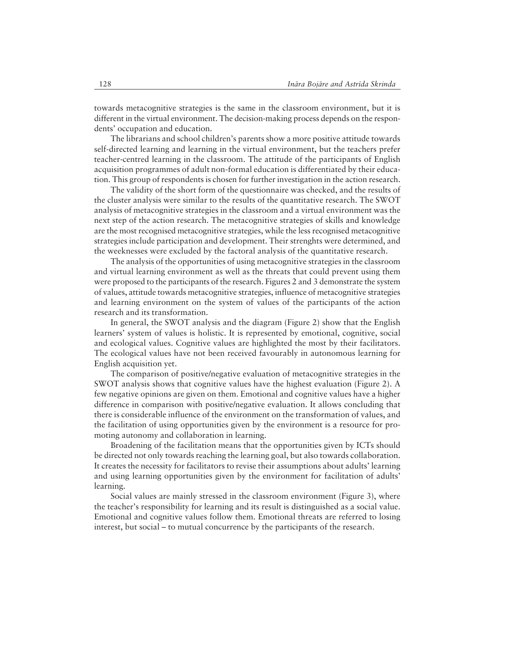towards metacognitive strategies is the same in the classroom environment, but it is different in the virtual environment. The decision-making process depends on the respondents' occupation and education.

The librarians and school children's parents show a more positive attitude towards self-directed learning and learning in the virtual environment, but the teachers prefer teacher-centred learning in the classroom. The attitude of the participants of English acquisition programmes of adult non-formal education is differentiated by their education. This group of respondents is chosen for further investigation in the action research.

The validity of the short form of the questionnaire was checked, and the results of the cluster analysis were similar to the results of the quantitative research. The SWOT analysis of metacognitive strategies in the classroom and a virtual environment was the next step of the action research. The metacognitive strategies of skills and knowledge are the most recognised metacognitive strategies, while the less recognised metacognitive strategies include participation and development. Their strenghts were determined, and the weeknesses were excluded by the factoral analysis of the quantitative research.

The analysis of the opportunities of using metacognitive strategies in the classroom and virtual learning environment as well as the threats that could prevent using them were proposed to the participants of the research. Figures 2 and 3 demonstrate the system of values, attitude towards metacognitive strategies, influence of metacognitive strategies and learning environment on the system of values of the participants of the action research and its transformation.

In general, the SWOT analysis and the diagram (Figure 2) show that the English learnersí system of values is holistic. It is represented by emotional, cognitive, social and ecological values. Cognitive values are highlighted the most by their facilitators. The ecological values have not been received favourably in autonomous learning for English acquisition yet.

The comparison of positive/negative evaluation of metacognitive strategies in the SWOT analysis shows that cognitive values have the highest evaluation (Figure 2). A few negative opinions are given on them. Emotional and cognitive values have a higher difference in comparison with positive/negative evaluation. It allows concluding that there is considerable influence of the environment on the transformation of values, and the facilitation of using opportunities given by the environment is a resource for promoting autonomy and collaboration in learning.

Broadening of the facilitation means that the opportunities given by ICTs should be directed not only towards reaching the learning goal, but also towards collaboration. It creates the necessity for facilitators to revise their assumptions about adults' learning and using learning opportunities given by the environment for facilitation of adultsí learning.

Social values are mainly stressed in the classroom environment (Figure 3), where the teacher's responsibility for learning and its result is distinguished as a social value. Emotional and cognitive values follow them. Emotional threats are referred to losing interest, but social – to mutual concurrence by the participants of the research.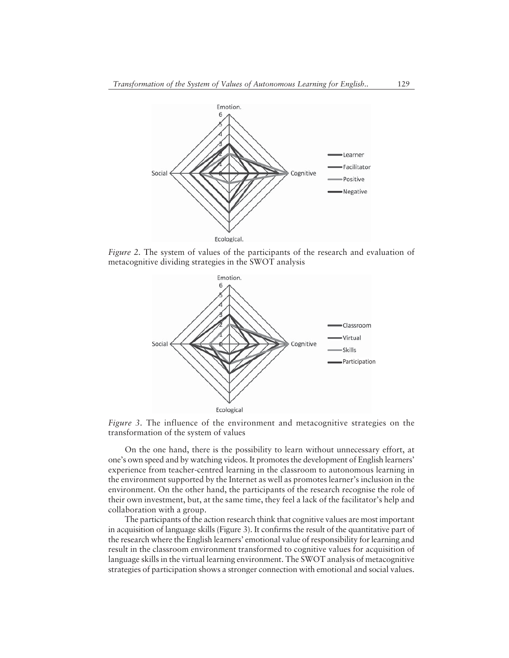

*Figure 2.* The system of values of the participants of the research and evaluation of metacognitive dividing strategies in the SWOT analysis



*Figure 3.* The influence of the environment and metacognitive strategies on the transformation of the system of values

On the one hand, there is the possibility to learn without unnecessary effort, at one's own speed and by watching videos. It promotes the development of English learners' experience from teacher-centred learning in the classroom to autonomous learning in the environment supported by the Internet as well as promotes learner's inclusion in the environment. On the other hand, the participants of the research recognise the role of their own investment, but, at the same time, they feel a lack of the facilitator's help and collaboration with a group.

The participants of the action research think that cognitive values are most important in acquisition of language skills (Figure 3). It confirms the result of the quantitative part of the research where the English learners' emotional value of responsibility for learning and result in the classroom environment transformed to cognitive values for acquisition of language skills in the virtual learning environment. The SWOT analysis of metacognitive strategies of participation shows a stronger connection with emotional and social values.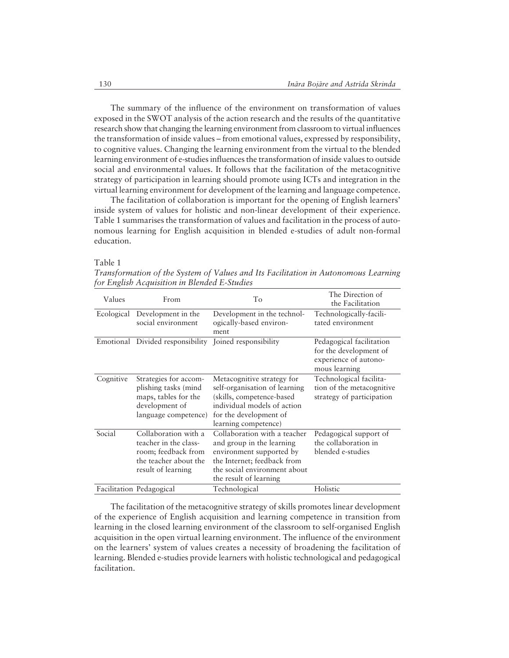The summary of the influence of the environment on transformation of values exposed in the SWOT analysis of the action research and the results of the quantitative research show that changing the learning environment from classroom to virtual influences the transformation of inside values – from emotional values, expressed by responsibility, to cognitive values. Changing the learning environment from the virtual to the blended learning environment of e-studies influences the transformation of inside values to outside social and environmental values. It follows that the facilitation of the metacognitive strategy of participation in learning should promote using ICTs and integration in the virtual learning environment for development of the learning and language competence.

The facilitation of collaboration is important for the opening of English learners' inside system of values for holistic and non-linear development of their experience. Table 1 summarises the transformation of values and facilitation in the process of autonomous learning for English acquisition in blended e-studies of adult non-formal education.

#### Table 1

*Transformation of the System of Values and Its Facilitation in Autonomous Learning for English Acquisition in Blended E-Studies*

| Values     | From                                                                                                                | To                                                                                                                                                                             | The Direction of<br>the Facilitation                                                         |
|------------|---------------------------------------------------------------------------------------------------------------------|--------------------------------------------------------------------------------------------------------------------------------------------------------------------------------|----------------------------------------------------------------------------------------------|
| Ecological | Development in the<br>social environment                                                                            | Development in the technol-<br>ogically-based environ-<br>ment                                                                                                                 | Technologically-facili-<br>tated environment                                                 |
|            | Emotional Divided responsibility                                                                                    | Joined responsibility                                                                                                                                                          | Pedagogical facilitation<br>for the development of<br>experience of autono-<br>mous learning |
| Cognitive  | Strategies for accom-<br>plishing tasks (mind<br>maps, tables for the<br>development of<br>language competence)     | Metacognitive strategy for<br>self-organisation of learning<br>(skills, competence-based<br>individual models of action<br>for the development of<br>learning competence)      | Technological facilita-<br>tion of the metacognitive<br>strategy of participation            |
| Social     | Collaboration with a<br>teacher in the class-<br>room; feedback from<br>the teacher about the<br>result of learning | Collaboration with a teacher<br>and group in the learning<br>environment supported by<br>the Internet; feedback from<br>the social environment about<br>the result of learning | Pedagogical support of<br>the collaboration in<br>blended e-studies                          |
|            | Facilitation Pedagogical                                                                                            | Technological                                                                                                                                                                  | Holistic                                                                                     |

The facilitation of the metacognitive strategy of skills promotes linear development of the experience of English acquisition and learning competence in transition from learning in the closed learning environment of the classroom to self-organised English acquisition in the open virtual learning environment. The influence of the environment on the learners' system of values creates a necessity of broadening the facilitation of learning. Blended e-studies provide learners with holistic technological and pedagogical facilitation.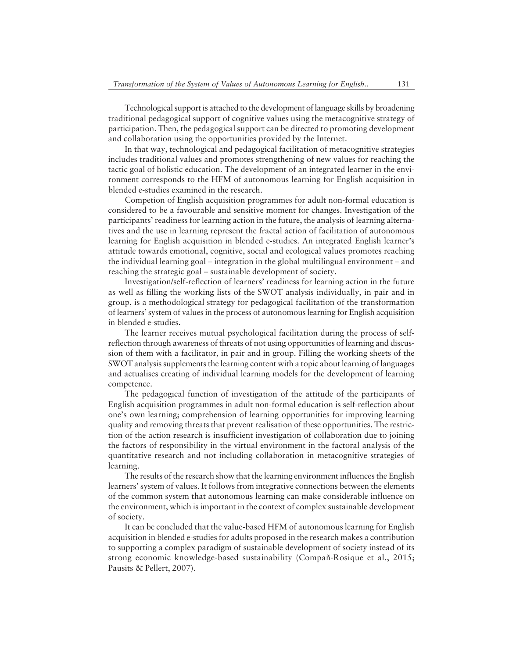Technological support is attached to the development of language skills by broadening traditional pedagogical support of cognitive values using the metacognitive strategy of participation. Then, the pedagogical support can be directed to promoting development and collaboration using the opportunities provided by the Internet.

In that way, technological and pedagogical facilitation of metacognitive strategies includes traditional values and promotes strengthening of new values for reaching the tactic goal of holistic education. The development of an integrated learner in the environment corresponds to the HFM of autonomous learning for English acquisition in blended e-studies examined in the research.

Competion of English acquisition programmes for adult non-formal education is considered to be a favourable and sensitive moment for changes. Investigation of the participants' readiness for learning action in the future, the analysis of learning alternatives and the use in learning represent the fractal action of facilitation of autonomous learning for English acquisition in blended e-studies. An integrated English learner's attitude towards emotional, cognitive, social and ecological values promotes reaching the individual learning goal  $\overline{\phantom{a}}$  integration in the global multilingual environment  $\overline{\phantom{a}}$  and reaching the strategic goal – sustainable development of society.

Investigation/self-reflection of learnersí readiness for learning action in the future as well as filling the working lists of the SWOT analysis individually, in pair and in group, is a methodological strategy for pedagogical facilitation of the transformation of learnersí system of values in the process of autonomous learning for English acquisition in blended e-studies.

The learner receives mutual psychological facilitation during the process of selfreflection through awareness of threats of not using opportunities of learning and discussion of them with a facilitator, in pair and in group. Filling the working sheets of the SWOT analysis supplements the learning content with a topic about learning of languages and actualises creating of individual learning models for the development of learning competence.

The pedagogical function of investigation of the attitude of the participants of English acquisition programmes in adult non-formal education is self-reflection about one's own learning; comprehension of learning opportunities for improving learning quality and removing threats that prevent realisation of these opportunities. The restriction of the action research is insufficient investigation of collaboration due to joining the factors of responsibility in the virtual environment in the factoral analysis of the quantitative research and not including collaboration in metacognitive strategies of learning.

The results of the research show that the learning environment influences the English learnersí system of values. It follows from integrative connections between the elements of the common system that autonomous learning can make considerable influence on the environment, which is important in the context of complex sustainable development of society.

It can be concluded that the value-based HFM of autonomous learning for English acquisition in blended e-studies for adults proposed in the research makes a contribution to supporting a complex paradigm of sustainable development of society instead of its strong economic knowledge-based sustainability (Compañ-Rosique et al., 2015; Pausits & Pellert, 2007).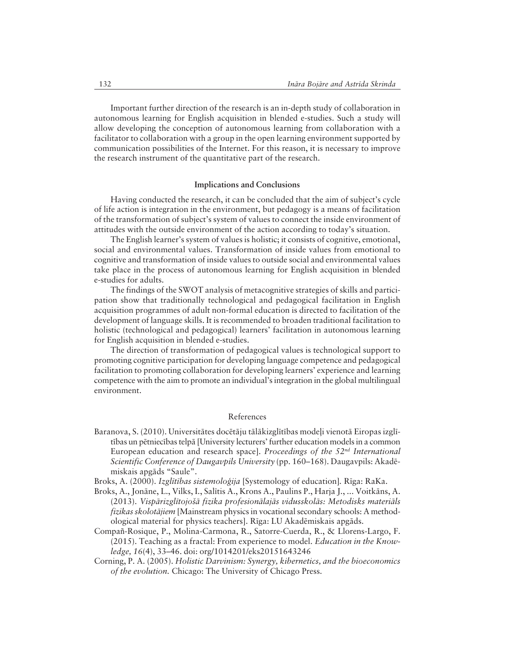Important further direction of the research is an in-depth study of collaboration in autonomous learning for English acquisition in blended e-studies. Such a study will allow developing the conception of autonomous learning from collaboration with a facilitator to collaboration with a group in the open learning environment supported by communication possibilities of the Internet. For this reason, it is necessary to improve the research instrument of the quantitative part of the research.

#### **Implications and Conclusions**

Having conducted the research, it can be concluded that the aim of subject's cycle of life action is integration in the environment, but pedagogy is a means of facilitation of the transformation of subject's system of values to connect the inside environment of attitudes with the outside environment of the action according to today's situation.

The English learner's system of values is holistic; it consists of cognitive, emotional, social and environmental values. Transformation of inside values from emotional to cognitive and transformation of inside values to outside social and environmental values take place in the process of autonomous learning for English acquisition in blended e-studies for adults.

The findings of the SWOT analysis of metacognitive strategies of skills and participation show that traditionally technological and pedagogical facilitation in English acquisition programmes of adult non-formal education is directed to facilitation of the development of language skills. It is recommended to broaden traditional facilitation to holistic (technological and pedagogical) learners' facilitation in autonomous learning for English acquisition in blended e-studies.

The direction of transformation of pedagogical values is technological support to promoting cognitive participation for developing language competence and pedagogical facilitation to promoting collaboration for developing learners' experience and learning competence with the aim to promote an individual's integration in the global multilingual environment.

#### References

Baranova, S. (2010). Universitātes docētāju tālākizglītības modeļi vienotā Eiropas izglītības un pētniecības telpā [University lecturers' further education models in a common European education and research space]. Proceedings of the  $52<sup>nd</sup> International$ Scientific Conference of Daugavpils University (pp. 160-168). Daugavpils: Akadēmiskais apgāds "Saule".

Broks, A. (2000). Izglītības sistemoloģija [Systemology of education]. Rīga: RaKa.

- Broks, A., Jonāne, L., Vilks, I., Salītis A., Krons A., Paulins P., Harja J., ... Voitkāns, A. (2013). Vispārizglītojošā fizika profesionālajās vidusskolās: Metodisks materiāls fizikas skolotājiem [Mainstream physics in vocational secondary schools: A methodological material for physics teachers]. Rīga: LU Akadēmiskais apgāds.
- Compañ-Rosique, P., Molina-Carmona, R., Satorre-Cuerda, R., & Llorens-Largo, F.  $(2015)$ . Teaching as a fractal: From experience to model. *Education in the Know*ledge, 16(4), 33-46. doi: org/1014201/eks20151643246
- Corning, P. A. (2005). Holistic Darvinism: Synergy, kibernetics, and the bioeconomics of the evolution. Chicago: The University of Chicago Press.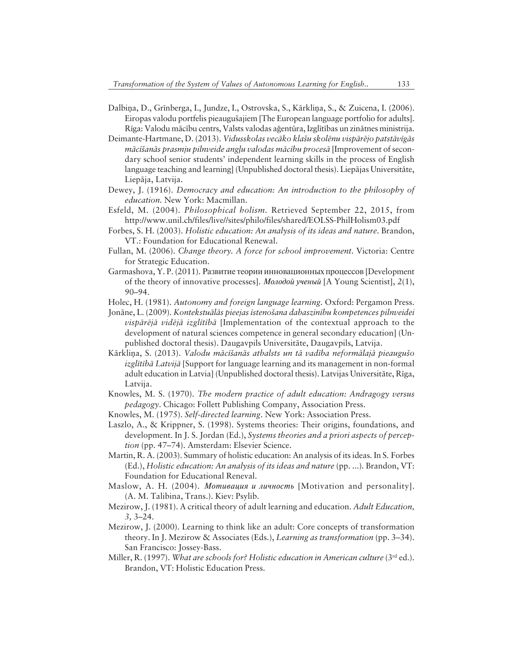- Dalbiņa, D., Grīnberga, I., Jundze, I., Ostrovska, S., Kārkliņa, S., & Zuicena, I. (2006). Eiropas valodu portfelis pieaugušajiem [The European language portfolio for adults]. Rīga: Valodu mācību centrs, Valsts valodas aģentūra, Izglītības un zinātnes ministrija.
- Deimante-Hartmane, D. (2013). Vidusskolas vecāko klašu skolēnu vispārējo patstāvīgās mācīšanās prasmju pilnveide angļu valodas mācību procesā [Improvement of secondary school senior students' independent learning skills in the process of English language teaching and learning (Unpublished doctoral thesis). Liepājas Universitāte, Liepāja, Latvija.
- Dewey, J. (1916). Democracy and education: An introduction to the philosophy of education. New York: Macmillan.
- Esfeld, M. (2004). Philosophical holism. Retrieved September 22, 2015, from http://www.unil.ch/files/live//sites/philo/files/shared/EOLSS-PhilHolism03.pdf
- Forbes, S. H. (2003). Holistic education: An analysis of its ideas and nature. Brandon, VT.: Foundation for Educational Renewal.
- Fullan, M. (2006). Change theory. A force for school improvement. Victoria: Centre for Strategic Education.
- Garmashova, Y. P. (2011). Развитие теории инновационных процессов [Development] of the theory of innovative processes]. *Молодой ученый* [A Young Scientist],  $2(1)$ ,  $90 - 94.$
- Holec, H. (1981). Autonomy and foreign language learning. Oxford: Pergamon Press.
- Jonāne, L. (2009). Kontekstuālās pieejas īstenošana dabaszinību kompetences pilnveidei vispārējā vidējā izglītībā [Implementation of the contextual approach to the development of natural sciences competence in general secondary education (Unpublished doctoral thesis). Daugavpils Universitāte, Daugavpils, Latvija.
- Kārklina, S. (2013). Valodu mācīšanās atbalsts un tā vadība neformālajā pieaugušo *izglitibā Latvijā* [Support for language learning and its management in non-formal adult education in Latvia] (Unpublished doctoral thesis). Latvijas Universitāte, Rīga, Latvija.
- Knowles, M. S. (1970). The modern practice of adult education: Andragogy versus *pedagogy*. Chicago: Follett Publishing Company, Association Press.
- Knowles, M. (1975). Self-directed learning. New York: Association Press.
- Laszlo, A., & Krippner, S. (1998). Systems theories: Their origins, foundations, and development. In J. S. Jordan (Ed.), Systems theories and a priori aspects of perception (pp. 47–74). Amsterdam: Elsevier Science.
- Martin, R. A. (2003). Summary of holistic education: An analysis of its ideas. In S. Forbes (Ed.), Holistic education: An analysis of its ideas and nature (pp. ...). Brandon, VT: Foundation for Educational Reneval.
- Maslow, A. H. (2004). *Momusayus u личность* [Motivation and personality]. (A. M. Talibina, Trans.). Kiev: Psylib.
- Mezirow, J. (1981). A critical theory of adult learning and education. Adult Education,  $3, 3-24.$
- Mezirow, J. (2000). Learning to think like an adult: Core concepts of transformation theory. In J. Mezirow & Associates (Eds.), Learning as transformation (pp.  $3-34$ ). San Francisco: Jossey-Bass.
- Miller, R. (1997). What are schools for? Holistic education in American culture (3rd ed.). Brandon, VT: Holistic Education Press.